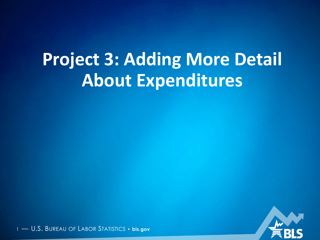# **Project 3: Adding More Detail About Expenditures**

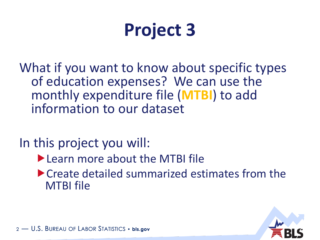# **Project 3**

What if you want to know about specific types of education expenses? We can use the monthly expenditure file (**MTBI**) to add information to our dataset

In this project you will:

- ▶ Learn more about the MTBI file
- ▶ Create detailed summarized estimates from the MTBI file

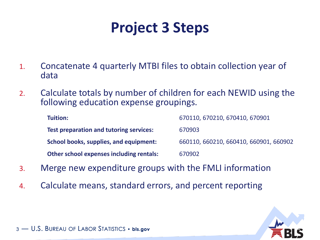## **Project 3 Steps**

- 1. Concatenate 4 quarterly MTBI files to obtain collection year of data
- 2. Calculate totals by number of children for each NEWID using the following education expense groupings.

| Tuition:                                        | 670110, 670210, 670410, 670901         |
|-------------------------------------------------|----------------------------------------|
| <b>Test preparation and tutoring services:</b>  | 670903                                 |
| School books, supplies, and equipment:          | 660110, 660210, 660410, 660901, 660902 |
| <b>Other school expenses including rentals:</b> | 670902                                 |

- 3. Merge new expenditure groups with the FMLI information
- 4. Calculate means, standard errors, and percent reporting

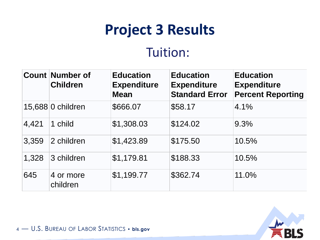#### Tuition:

|       | <b>Count Number of</b><br><b>Children</b> | <b>Education</b><br><b>Expenditure</b><br><b>Mean</b> | <b>Education</b><br><b>Expenditure</b><br><b>Standard Error</b> | <b>Education</b><br><b>Expenditure</b><br><b>Percent Reporting</b> |
|-------|-------------------------------------------|-------------------------------------------------------|-----------------------------------------------------------------|--------------------------------------------------------------------|
|       | 15,688 0 children                         | \$666.07                                              | \$58.17                                                         | 4.1%                                                               |
| 4,421 | 1 child                                   | \$1,308.03                                            | \$124.02                                                        | 9.3%                                                               |
| 3,359 | 2 children                                | \$1,423.89                                            | \$175.50                                                        | 10.5%                                                              |
| 1,328 | 3 children                                | \$1,179.81                                            | \$188.33                                                        | 10.5%                                                              |
| 645   | 4 or more<br>children                     | \$1,199.77                                            | \$362.74                                                        | 11.0%                                                              |

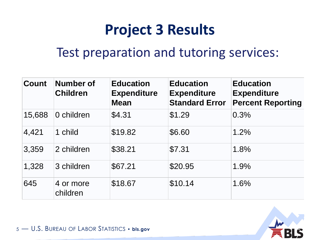#### Test preparation and tutoring services:

| <b>Count</b> | <b>Number of</b><br><b>Children</b> | <b>Education</b><br><b>Expenditure</b><br><b>Mean</b> | <b>Education</b><br><b>Expenditure</b><br><b>Standard Error</b> | <b>Education</b><br><b>Expenditure</b><br><b>Percent Reporting</b> |
|--------------|-------------------------------------|-------------------------------------------------------|-----------------------------------------------------------------|--------------------------------------------------------------------|
| 15,688       | 0 children                          | \$4.31                                                | \$1.29                                                          | 0.3%                                                               |
| 4,421        | 1 child                             | \$19.82                                               | \$6.60                                                          | 1.2%                                                               |
| 3,359        | 2 children                          | \$38.21                                               | \$7.31                                                          | 1.8%                                                               |
| 1,328        | 3 children                          | \$67.21                                               | \$20.95                                                         | 1.9%                                                               |
| 645          | 4 or more<br>children               | \$18.67                                               | \$10.14                                                         | 1.6%                                                               |

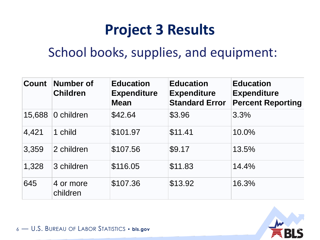#### School books, supplies, and equipment:

| <b>Count</b> | <b>Number of</b><br><b>Children</b> | <b>Education</b><br><b>Expenditure</b><br><b>Mean</b> | <b>Education</b><br><b>Expenditure</b><br><b>Standard Error</b> | <b>Education</b><br><b>Expenditure</b><br><b>Percent Reporting</b> |
|--------------|-------------------------------------|-------------------------------------------------------|-----------------------------------------------------------------|--------------------------------------------------------------------|
| 15,688       | 0 children                          | \$42.64                                               | \$3.96                                                          | 3.3%                                                               |
| 4,421        | 1 child                             | \$101.97                                              | \$11.41                                                         | 10.0%                                                              |
| 3,359        | 2 children                          | \$107.56                                              | \$9.17                                                          | 13.5%                                                              |
| 1,328        | 3 children                          | \$116.05                                              | \$11.83                                                         | 14.4%                                                              |
| 645          | 4 or more<br>children               | \$107.36                                              | \$13.92                                                         | 16.3%                                                              |